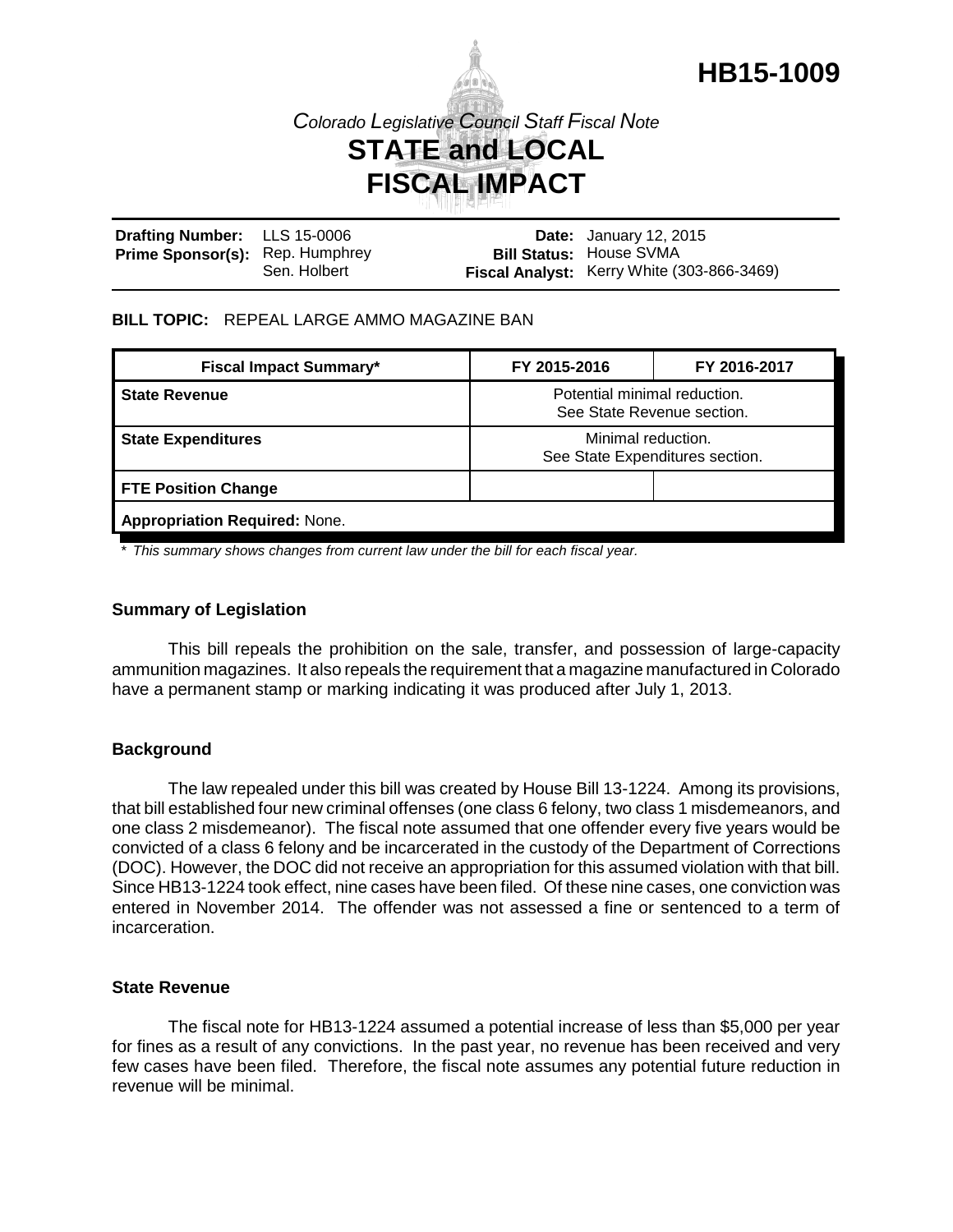

# *Colorado Legislative Council Staff Fiscal Note* **STATE and LOCAL FISCAL IMPACT**

| Drafting Number: LLS 15-0006           |              | <b>Date:</b> January 12, 2015              |
|----------------------------------------|--------------|--------------------------------------------|
| <b>Prime Sponsor(s):</b> Rep. Humphrey |              | <b>Bill Status: House SVMA</b>             |
|                                        | Sen, Holbert | Fiscal Analyst: Kerry White (303-866-3469) |

## **BILL TOPIC:** REPEAL LARGE AMMO MAGAZINE BAN

| <b>Fiscal Impact Summary*</b>        | FY 2015-2016                                               | FY 2016-2017 |  |  |
|--------------------------------------|------------------------------------------------------------|--------------|--|--|
| <b>State Revenue</b>                 | Potential minimal reduction.<br>See State Revenue section. |              |  |  |
| <b>State Expenditures</b>            | Minimal reduction.<br>See State Expenditures section.      |              |  |  |
| <b>FTE Position Change</b>           |                                                            |              |  |  |
| <b>Appropriation Required: None.</b> |                                                            |              |  |  |

*\* This summary shows changes from current law under the bill for each fiscal year.* 

### **Summary of Legislation**

This bill repeals the prohibition on the sale, transfer, and possession of large-capacity ammunition magazines. It also repeals the requirement that a magazine manufactured in Colorado have a permanent stamp or marking indicating it was produced after July 1, 2013.

## **Background**

The law repealed under this bill was created by House Bill 13-1224. Among its provisions, that bill established four new criminal offenses (one class 6 felony, two class 1 misdemeanors, and one class 2 misdemeanor). The fiscal note assumed that one offender every five years would be convicted of a class 6 felony and be incarcerated in the custody of the Department of Corrections (DOC). However, the DOC did not receive an appropriation for this assumed violation with that bill. Since HB13-1224 took effect, nine cases have been filed. Of these nine cases, one conviction was entered in November 2014. The offender was not assessed a fine or sentenced to a term of incarceration.

#### **State Revenue**

The fiscal note for HB13-1224 assumed a potential increase of less than \$5,000 per year for fines as a result of any convictions. In the past year, no revenue has been received and very few cases have been filed. Therefore, the fiscal note assumes any potential future reduction in revenue will be minimal.